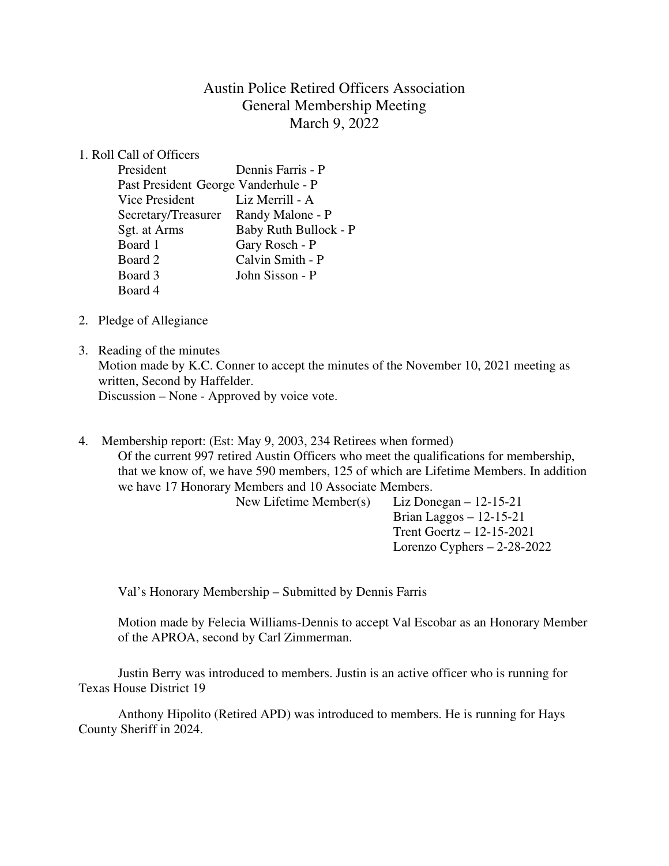# Austin Police Retired Officers Association General Membership Meeting March 9, 2022

## 1. Roll Call of Officers

| President                            | Dennis Farris - P            |
|--------------------------------------|------------------------------|
| Past President George Vanderhule - P |                              |
| Vice President                       | Liz Merrill - A              |
| Secretary/Treasurer                  | Randy Malone - P             |
| Sgt. at Arms                         | <b>Baby Ruth Bullock - P</b> |
| Board 1                              | Gary Rosch - P               |
| Board 2                              | Calvin Smith - P             |
| Board 3                              | John Sisson - P              |
| Board 4                              |                              |

- 2. Pledge of Allegiance
- 3. Reading of the minutes Motion made by K.C. Conner to accept the minutes of the November 10, 2021 meeting as written, Second by Haffelder. Discussion – None - Approved by voice vote.
- 4. Membership report: (Est: May 9, 2003, 234 Retirees when formed) Of the current 997 retired Austin Officers who meet the qualifications for membership,

that we know of, we have 590 members, 125 of which are Lifetime Members. In addition we have 17 Honorary Members and 10 Associate Members.

New Lifetime Member(s) Liz Donegan – 12-15-21

 Brian Laggos – 12-15-21 Trent Goertz – 12-15-2021 Lorenzo Cyphers – 2-28-2022

Val's Honorary Membership – Submitted by Dennis Farris

Motion made by Felecia Williams-Dennis to accept Val Escobar as an Honorary Member of the APROA, second by Carl Zimmerman.

 Justin Berry was introduced to members. Justin is an active officer who is running for Texas House District 19

 Anthony Hipolito (Retired APD) was introduced to members. He is running for Hays County Sheriff in 2024.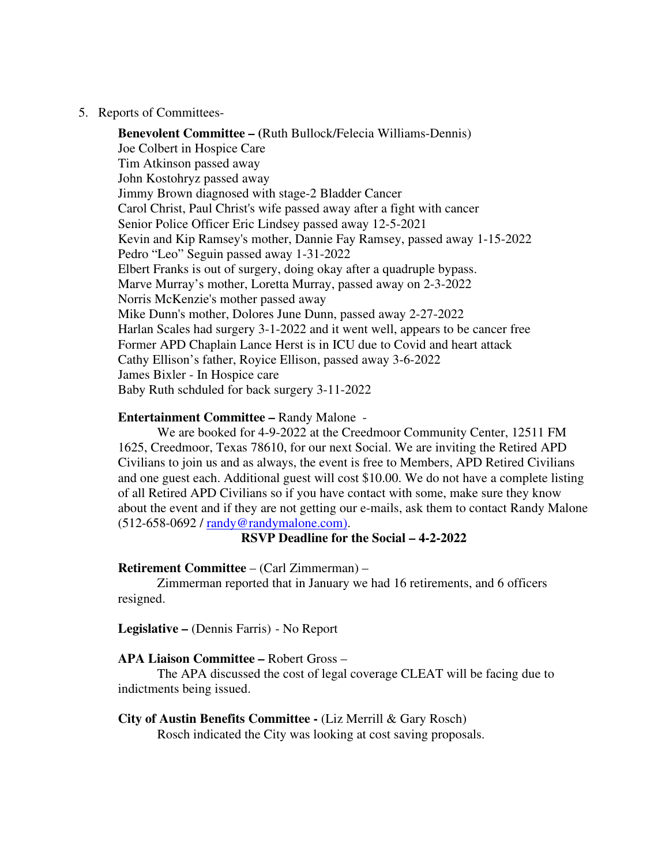#### 5. Reports of Committees-

**Benevolent Committee – (**Ruth Bullock/Felecia Williams-Dennis) Joe Colbert in Hospice Care Tim Atkinson passed away John Kostohryz passed away Jimmy Brown diagnosed with stage-2 Bladder Cancer Carol Christ, Paul Christ's wife passed away after a fight with cancer Senior Police Officer Eric Lindsey passed away 12-5-2021 Kevin and Kip Ramsey's mother, Dannie Fay Ramsey, passed away 1-15-2022 Pedro "Leo" Seguin passed away 1-31-2022 Elbert Franks is out of surgery, doing okay after a quadruple bypass. Marve Murray's mother, Loretta Murray, passed away on 2-3-2022 Norris McKenzie's mother passed away Mike Dunn's mother, Dolores June Dunn, passed away 2-27-2022 Harlan Scales had surgery 3-1-2022 and it went well, appears to be cancer free Former APD Chaplain Lance Herst is in ICU due to Covid and heart attack Cathy Ellison's father, Royice Ellison, passed away 3-6-2022 James Bixler - In Hospice care Baby Ruth schduled for back surgery 3-11-2022

#### **Entertainment Committee –** Randy Malone -

We are booked for 4-9-2022 at the Creedmoor Community Center, 12511 FM 1625, Creedmoor, Texas 78610, for our next Social. We are inviting the Retired APD Civilians to join us and as always, the event is free to Members, APD Retired Civilians and one guest each. Additional guest will cost \$10.00. We do not have a complete listing of all Retired APD Civilians so if you have contact with some, make sure they know about the event and if they are not getting our e-mails, ask them to contact Randy Malone (512-658-0692 / randy@randymalone.com).

**RSVP Deadline for the Social – 4-2-2022**

## **Retirement Committee** – (Carl Zimmerman) –

Zimmerman reported that in January we had 16 retirements, and 6 officers resigned.

**Legislative –** (Dennis Farris) - No Report

#### **APA Liaison Committee –** Robert Gross –

The APA discussed the cost of legal coverage CLEAT will be facing due to indictments being issued.

#### **City of Austin Benefits Committee -** (Liz Merrill & Gary Rosch)

Rosch indicated the City was looking at cost saving proposals.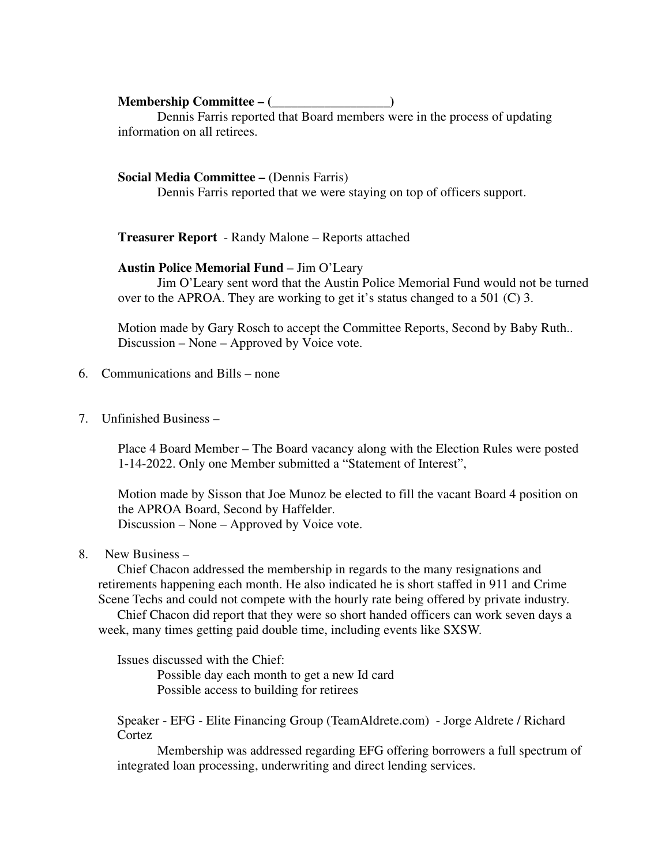## **Membership Committee – (\_\_\_\_\_\_\_\_\_\_\_\_\_\_\_\_\_\_)**

Dennis Farris reported that Board members were in the process of updating information on all retirees.

## **Social Media Committee – (Dennis Farris)**

Dennis Farris reported that we were staying on top of officers support.

**Treasurer Report** - Randy Malone – Reports attached

### **Austin Police Memorial Fund** – Jim O'Leary

 Jim O'Leary sent word that the Austin Police Memorial Fund would not be turned over to the APROA. They are working to get it's status changed to a 501 (C) 3.

Motion made by Gary Rosch to accept the Committee Reports, Second by Baby Ruth.. Discussion – None – Approved by Voice vote.

- 6. Communications and Bills none
- 7. Unfinished Business –

Place 4 Board Member – The Board vacancy along with the Election Rules were posted 1-14-2022. Only one Member submitted a "Statement of Interest",

Motion made by Sisson that Joe Munoz be elected to fill the vacant Board 4 position on the APROA Board, Second by Haffelder. Discussion – None – Approved by Voice vote.

8. New Business –

Chief Chacon addressed the membership in regards to the many resignations and retirements happening each month. He also indicated he is short staffed in 911 and Crime Scene Techs and could not compete with the hourly rate being offered by private industry.

Chief Chacon did report that they were so short handed officers can work seven days a week, many times getting paid double time, including events like SXSW.

Issues discussed with the Chief:

 Possible day each month to get a new Id card Possible access to building for retirees

Speaker - EFG - Elite Financing Group (TeamAldrete.com) - Jorge Aldrete / Richard **Cortez** 

Membership was addressed regarding EFG offering borrowers a full spectrum of integrated loan processing, underwriting and direct lending services.